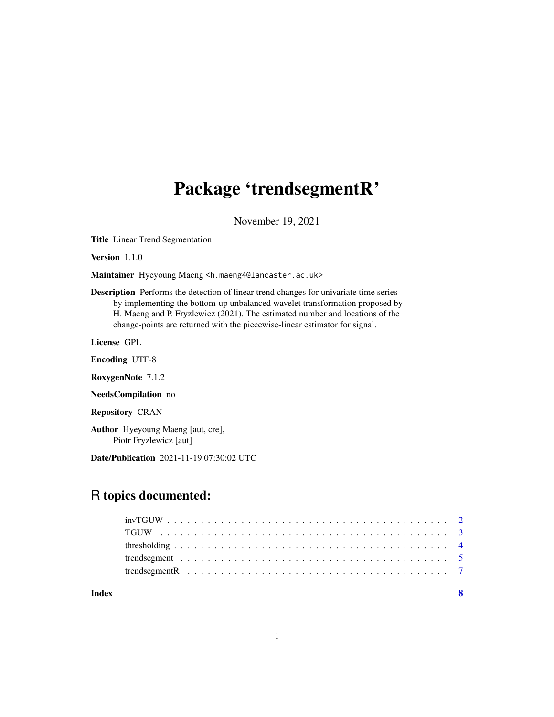## Package 'trendsegmentR'

November 19, 2021

Title Linear Trend Segmentation

Version 1.1.0

Maintainer Hyeyoung Maeng <h.maeng4@lancaster.ac.uk>

Description Performs the detection of linear trend changes for univariate time series by implementing the bottom-up unbalanced wavelet transformation proposed by H. Maeng and P. Fryzlewicz (2021). The estimated number and locations of the change-points are returned with the piecewise-linear estimator for signal.

License GPL

Encoding UTF-8

RoxygenNote 7.1.2

NeedsCompilation no

Repository CRAN

Author Hyeyoung Maeng [aut, cre], Piotr Fryzlewicz [aut]

Date/Publication 2021-11-19 07:30:02 UTC

### R topics documented:

#### **Index** [8](#page-7-0) **8**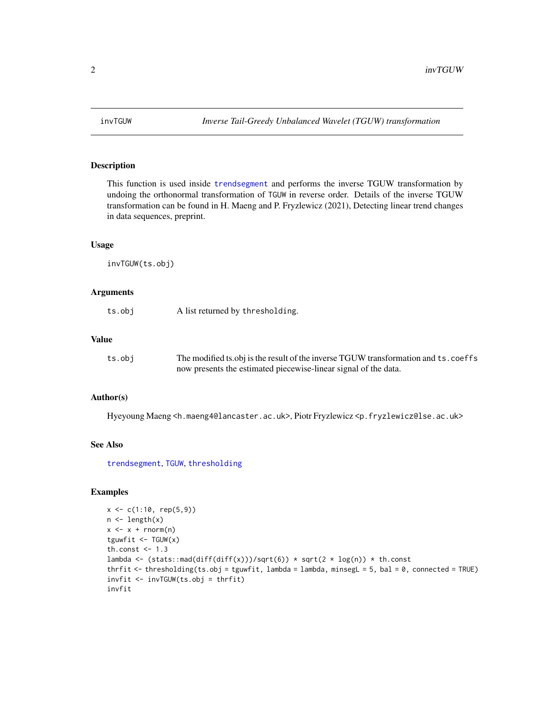<span id="page-1-1"></span><span id="page-1-0"></span>

#### Description

This function is used inside [trendsegment](#page-4-1) and performs the inverse TGUW transformation by undoing the orthonormal transformation of TGUW in reverse order. Details of the inverse TGUW transformation can be found in H. Maeng and P. Fryzlewicz (2021), Detecting linear trend changes in data sequences, preprint.

#### Usage

invTGUW(ts.obj)

#### Arguments

| ts.obj | A list returned by thresholding. |  |
|--------|----------------------------------|--|
|--------|----------------------------------|--|

#### Value

| ts.obj | The modified ts.obj is the result of the inverse TGUW transformation and ts. coeffs |
|--------|-------------------------------------------------------------------------------------|
|        | now presents the estimated piecewise-linear signal of the data.                     |

#### Author(s)

Hyeyoung Maeng <h.maeng4@lancaster.ac.uk>, Piotr Fryzlewicz <p.fryzlewicz@lse.ac.uk>

#### See Also

[trendsegment](#page-4-1), [TGUW](#page-2-1), [thresholding](#page-3-1)

#### Examples

```
x <- c(1:10, rep(5,9))
n \leftarrow length(x)x \leq x + \text{norm}(n)tguwfit \leq TGUW(x)
th.const <-1.3lambda <- (stats::mad(diff(diff(x)))/sqrt(6)) * sqrt(2 * log(n)) * th.const
thrfit <- thresholding(ts.obj = tguwfit, lambda = lambda, minsegL = 5, bal = 0, connected = TRUE)
invfit <- invTGUW(ts.obj = thrfit)
invfit
```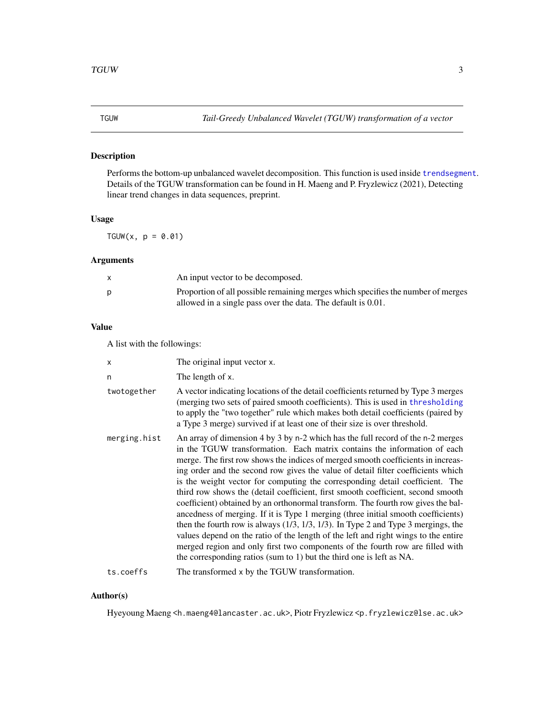#### <span id="page-2-1"></span><span id="page-2-0"></span>Description

Performs the bottom-up unbalanced wavelet decomposition. This function is used inside [trendsegment](#page-4-1). Details of the TGUW transformation can be found in H. Maeng and P. Fryzlewicz (2021), Detecting linear trend changes in data sequences, preprint.

#### Usage

TGUW(x,  $p = 0.01$ )

#### Arguments

| X | An input vector to be decomposed.                                                                                                                |
|---|--------------------------------------------------------------------------------------------------------------------------------------------------|
| p | Proportion of all possible remaining merges which specifies the number of merges<br>allowed in a single pass over the data. The default is 0.01. |

#### Value

A list with the followings:

| X            | The original input vector x.                                                                                                                                                                                                                                                                                                                                                                                                                                                                                                                                                                                                                                                                                                                                                                                                                                                                                                                                                                                            |
|--------------|-------------------------------------------------------------------------------------------------------------------------------------------------------------------------------------------------------------------------------------------------------------------------------------------------------------------------------------------------------------------------------------------------------------------------------------------------------------------------------------------------------------------------------------------------------------------------------------------------------------------------------------------------------------------------------------------------------------------------------------------------------------------------------------------------------------------------------------------------------------------------------------------------------------------------------------------------------------------------------------------------------------------------|
| n            | The length of x.                                                                                                                                                                                                                                                                                                                                                                                                                                                                                                                                                                                                                                                                                                                                                                                                                                                                                                                                                                                                        |
| twotogether  | A vector indicating locations of the detail coefficients returned by Type 3 merges<br>(merging two sets of paired smooth coefficients). This is used in thresholding<br>to apply the "two together" rule which makes both detail coefficients (paired by<br>a Type 3 merge) survived if at least one of their size is over threshold.                                                                                                                                                                                                                                                                                                                                                                                                                                                                                                                                                                                                                                                                                   |
| merging.hist | An array of dimension 4 by 3 by n-2 which has the full record of the n-2 merges<br>in the TGUW transformation. Each matrix contains the information of each<br>merge. The first row shows the indices of merged smooth coefficients in increas-<br>ing order and the second row gives the value of detail filter coefficients which<br>is the weight vector for computing the corresponding detail coefficient. The<br>third row shows the (detail coefficient, first smooth coefficient, second smooth<br>coefficient) obtained by an orthonormal transform. The fourth row gives the bal-<br>ancedness of merging. If it is Type 1 merging (three initial smooth coefficients)<br>then the fourth row is always $(1/3, 1/3, 1/3)$ . In Type 2 and Type 3 mergings, the<br>values depend on the ratio of the length of the left and right wings to the entire<br>merged region and only first two components of the fourth row are filled with<br>the corresponding ratios (sum to 1) but the third one is left as NA. |
| ts.coeffs    | The transformed x by the TGUW transformation.                                                                                                                                                                                                                                                                                                                                                                                                                                                                                                                                                                                                                                                                                                                                                                                                                                                                                                                                                                           |

#### Author(s)

Hyeyoung Maeng <h.maeng4@lancaster.ac.uk>, Piotr Fryzlewicz <p.fryzlewicz@lse.ac.uk>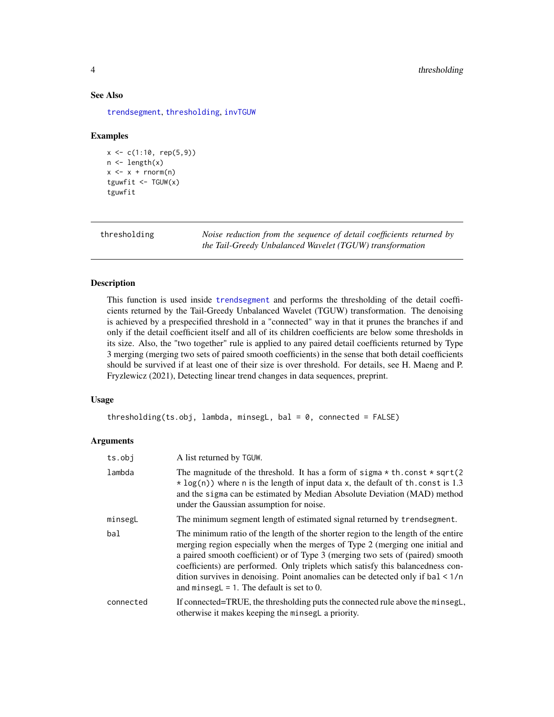#### See Also

[trendsegment](#page-4-1), [thresholding](#page-3-1), [invTGUW](#page-1-1)

#### Examples

```
x \leq -c(1:10, rep(5,9))n \leftarrow length(x)x \leq -x + \text{norm}(n)tguwfit \leq TGUW(x)
tguwfit
```
<span id="page-3-1"></span>thresholding *Noise reduction from the sequence of detail coefficients returned by the Tail-Greedy Unbalanced Wavelet (TGUW) transformation*

#### Description

This function is used inside [trendsegment](#page-4-1) and performs the thresholding of the detail coefficients returned by the Tail-Greedy Unbalanced Wavelet (TGUW) transformation. The denoising is achieved by a prespecified threshold in a "connected" way in that it prunes the branches if and only if the detail coefficient itself and all of its children coefficients are below some thresholds in its size. Also, the "two together" rule is applied to any paired detail coefficients returned by Type 3 merging (merging two sets of paired smooth coefficients) in the sense that both detail coefficients should be survived if at least one of their size is over threshold. For details, see H. Maeng and P. Fryzlewicz (2021), Detecting linear trend changes in data sequences, preprint.

#### Usage

thresholding(ts.obj, lambda, minsegL, bal =  $0$ , connected = FALSE)

#### Arguments

| ts.obj    | A list returned by TGUW.                                                                                                                                                                                                                                                                                                                                                                                                                                                 |
|-----------|--------------------------------------------------------------------------------------------------------------------------------------------------------------------------------------------------------------------------------------------------------------------------------------------------------------------------------------------------------------------------------------------------------------------------------------------------------------------------|
| lambda    | The magnitude of the threshold. It has a form of sigma $*$ th.const $*$ sqrt(2)<br>$\star$ log(n)) where n is the length of input data x, the default of th. const is 1.3<br>and the sigma can be estimated by Median Absolute Deviation (MAD) method<br>under the Gaussian assumption for noise.                                                                                                                                                                        |
| minsegL   | The minimum segment length of estimated signal returned by trendsegment.                                                                                                                                                                                                                                                                                                                                                                                                 |
| bal       | The minimum ratio of the length of the shorter region to the length of the entire<br>merging region especially when the merges of Type 2 (merging one initial and<br>a paired smooth coefficient) or of Type 3 (merging two sets of (paired) smooth<br>coefficients) are performed. Only triplets which satisfy this balancedness con-<br>dition survives in denoising. Point anomalies can be detected only if $bal < 1/n$<br>and minsegL = 1. The default is set to 0. |
| connected | If connected=TRUE, the thresholding puts the connected rule above the minsegl,<br>otherwise it makes keeping the minsegl a priority.                                                                                                                                                                                                                                                                                                                                     |

<span id="page-3-0"></span>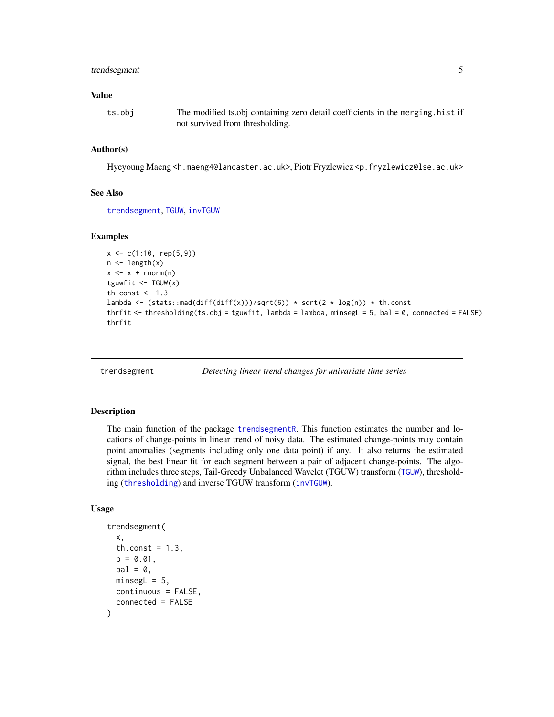#### <span id="page-4-0"></span>trendsegment 5

#### Value

ts.obj The modified ts.obj containing zero detail coefficients in the merging.hist if not survived from thresholding.

#### Author(s)

Hyeyoung Maeng <h.maeng4@lancaster.ac.uk>, Piotr Fryzlewicz <p.fryzlewicz@lse.ac.uk>

#### See Also

[trendsegment](#page-4-1), [TGUW](#page-2-1), [invTGUW](#page-1-1)

#### Examples

```
x \leq -c(1:10, rep(5,9))n \leftarrow length(x)
x \leq x + \text{norm}(n)tguwfit <- TGUW(x)
th.const <-1.3lambda <- (stats::mad(diff(diff(x)))/sqrt(6)) * sqrt(2 * log(n)) * th.const
thrfit <- thresholding(ts.obj = tguwfit, lambda = lambda, minsegL = 5, bal = 0, connected = FALSE)
thrfit
```
<span id="page-4-1"></span>

trendsegment *Detecting linear trend changes for univariate time series*

#### Description

The main function of the package [trendsegmentR](#page-6-1). This function estimates the number and locations of change-points in linear trend of noisy data. The estimated change-points may contain point anomalies (segments including only one data point) if any. It also returns the estimated signal, the best linear fit for each segment between a pair of adjacent change-points. The algorithm includes three steps, Tail-Greedy Unbalanced Wavelet (TGUW) transform ([TGUW](#page-2-1)), thresholding ([thresholding](#page-3-1)) and inverse TGUW transform ([invTGUW](#page-1-1)).

#### Usage

```
trendsegment(
  x,
  th.const = 1.3,
  p = 0.01,
 bal = 0,
 minesgL = 5,
 continuous = FALSE,
  connected = FALSE
)
```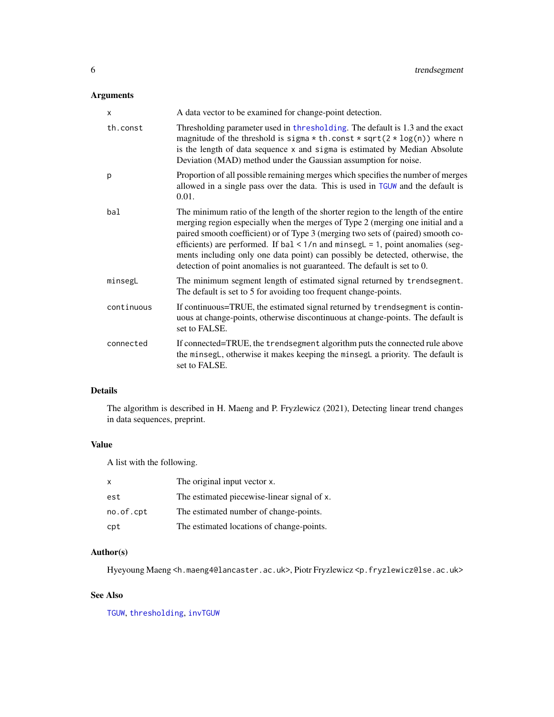#### Arguments

| X          | A data vector to be examined for change-point detection.                                                                                                                                                                                                                                                                                                                                                                                                                                                     |
|------------|--------------------------------------------------------------------------------------------------------------------------------------------------------------------------------------------------------------------------------------------------------------------------------------------------------------------------------------------------------------------------------------------------------------------------------------------------------------------------------------------------------------|
| th.const   | Thresholding parameter used in thresholding. The default is 1.3 and the exact<br>magnitude of the threshold is sigma $*$ th.const $*$ sqrt( $2 * log(n)$ ) where n<br>is the length of data sequence x and sigma is estimated by Median Absolute<br>Deviation (MAD) method under the Gaussian assumption for noise.                                                                                                                                                                                          |
| p          | Proportion of all possible remaining merges which specifies the number of merges<br>allowed in a single pass over the data. This is used in TGUW and the default is<br>0.01.                                                                                                                                                                                                                                                                                                                                 |
| bal        | The minimum ratio of the length of the shorter region to the length of the entire<br>merging region especially when the merges of Type 2 (merging one initial and a<br>paired smooth coefficient) or of Type 3 (merging two sets of (paired) smooth co-<br>efficients) are performed. If $bal < 1/n$ and minseg $L = 1$ , point anomalies (seg-<br>ments including only one data point) can possibly be detected, otherwise, the<br>detection of point anomalies is not guaranteed. The default is set to 0. |
| minsegL    | The minimum segment length of estimated signal returned by trendsegment.<br>The default is set to 5 for avoiding too frequent change-points.                                                                                                                                                                                                                                                                                                                                                                 |
| continuous | If continuous=TRUE, the estimated signal returned by trends eggency is contin-<br>uous at change-points, otherwise discontinuous at change-points. The default is<br>set to FALSE.                                                                                                                                                                                                                                                                                                                           |
| connected  | If connected=TRUE, the trendsegment algorithm puts the connected rule above<br>the minsegl, otherwise it makes keeping the minsegl a priority. The default is<br>set to FALSE.                                                                                                                                                                                                                                                                                                                               |

#### Details

The algorithm is described in H. Maeng and P. Fryzlewicz (2021), Detecting linear trend changes in data sequences, preprint.

#### Value

A list with the following.

| X         | The original input vector x.                |
|-----------|---------------------------------------------|
| est       | The estimated piecewise-linear signal of x. |
| no.of.cpt | The estimated number of change-points.      |
| cpt       | The estimated locations of change-points.   |

#### Author(s)

Hyeyoung Maeng <h.maeng4@lancaster.ac.uk>, Piotr Fryzlewicz <p.fryzlewicz@lse.ac.uk>

#### See Also

[TGUW](#page-2-1), [thresholding](#page-3-1), [invTGUW](#page-1-1)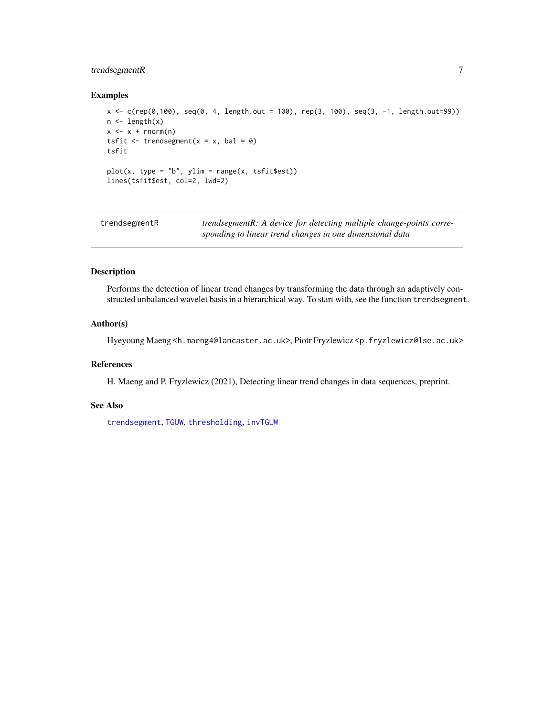#### <span id="page-6-0"></span>trendsegmentR 7

#### Examples

```
x < -c(rep(0,100), seq(0, 4, length.out = 100), rep(3, 100), seq(3, -1, length.out=99))
n \leftarrow length(x)x \leq -x + \text{rnorm}(n)tsfit \le trendsegment(x = x, bal = 0)
tsfit
plot(x, type = "b", ylim = range(x, tsfitSets))lines(tsfit$est, col=2, lwd=2)
```
<span id="page-6-1"></span>

| trendsegmentR | trendsegmentR: A device for detecting multiple change-points corre- |
|---------------|---------------------------------------------------------------------|
|               | sponding to linear trend changes in one dimensional data            |

#### Description

Performs the detection of linear trend changes by transforming the data through an adaptively constructed unbalanced wavelet basis in a hierarchical way. To start with, see the function trendsegment.

#### Author(s)

Hyeyoung Maeng <h.maeng4@lancaster.ac.uk>, Piotr Fryzlewicz <p.fryzlewicz@lse.ac.uk>

#### References

H. Maeng and P. Fryzlewicz (2021), Detecting linear trend changes in data sequences, preprint.

#### See Also

[trendsegment](#page-4-1), [TGUW](#page-2-1), [thresholding](#page-3-1), [invTGUW](#page-1-1)